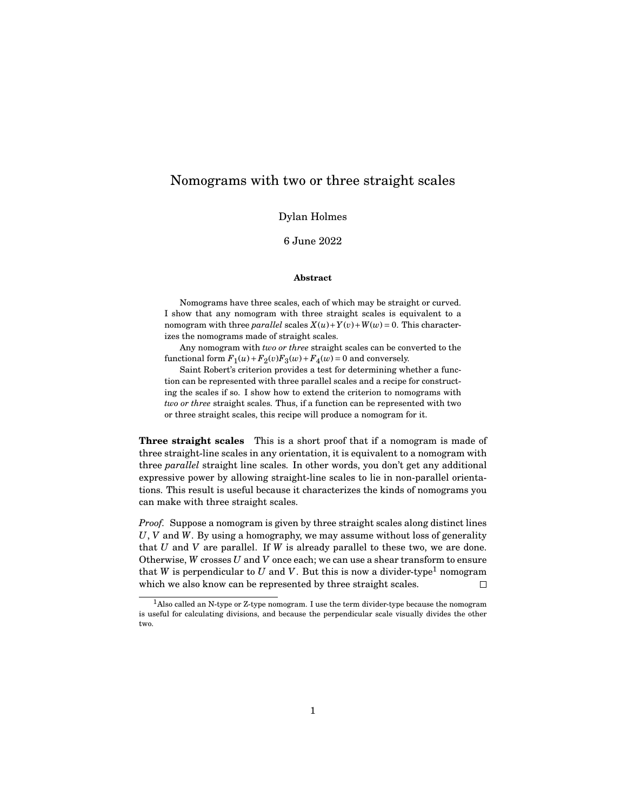## Nomograms with two or three straight scales

Dylan Holmes

6 June 2022

## **Abstract**

Nomograms have three scales, each of which may be straight or curved. I show that any nomogram with three straight scales is equivalent to a nomogram with three *parallel* scales  $X(u) + Y(v) + W(w) = 0$ . This characterizes the nomograms made of straight scales.

Any nomogram with *two or three* straight scales can be converted to the functional form  $F_1(u) + F_2(v)F_3(w) + F_4(w) = 0$  and conversely.

Saint Robert's criterion provides a test for determining whether a function can be represented with three parallel scales and a recipe for constructing the scales if so. I show how to extend the criterion to nomograms with *two or three* straight scales. Thus, if a function can be represented with two or three straight scales, this recipe will produce a nomogram for it.

**Three straight scales** This is a short proof that if a nomogram is made of three straight-line scales in any orientation, it is equivalent to a nomogram with three *parallel* straight line scales. In other words, you don't get any additional expressive power by allowing straight-line scales to lie in non-parallel orientations. This result is useful because it characterizes the kinds of nomograms you can make with three straight scales.

*Proof.* Suppose a nomogram is given by three straight scales along distinct lines *U*, *V* and *W*. By using a homography, we may assume without loss of generality that *U* and *V* are parallel. If *W* is already parallel to these two, we are done. Otherwise, *W* crosses *U* and *V* once each; we can use a shear transform to ensure that *W* is perpendicular to *U* and *V*. But this is now a divider-type<sup>1</sup> nomogram which we also know can be represented by three straight scales.  $\Box$ 

 $<sup>1</sup>$ Also called an N-type or Z-type nomogram. I use the term divider-type because the nomogram</sup> is useful for calculating divisions, and because the perpendicular scale visually divides the other two.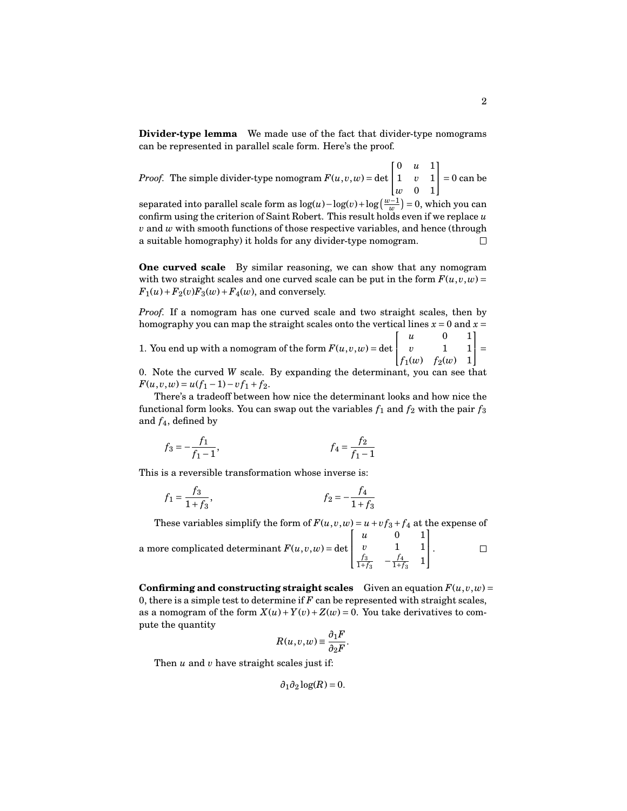**Divider-type lemma** We made use of the fact that divider-type nomograms can be represented in parallel scale form. Here's the proof.

*Proof.* The simple divider-type nomogram  $F(u, v, w) = det$  $\lceil$  $\overline{1}$ 0 *u* 1 1 *v* 1 *w* 0 1 1  $\vert = 0$  can be

separated into parallel scale form as  $\log(u) - \log(v) + \log\left(\frac{w-1}{w}\right) = 0$ , which you can confirm using the criterion of Saint Robert. This result holds even if we replace *u v* and *w* with smooth functions of those respective variables, and hence (through a suitable homography) it holds for any divider-type nomogram.  $\Box$ 

**One curved scale** By similar reasoning, we can show that any nomogram with two straight scales and one curved scale can be put in the form  $F(u, v, w) =$  $F_1(u) + F_2(v)F_3(w) + F_4(w)$ , and conversely.

*Proof.* If a nomogram has one curved scale and two straight scales, then by homography you can map the straight scales onto the vertical lines  $x = 0$  and  $x =$ 

1. You end up with a nomogram of the form  $F(u, v, w) = det$  $\lceil$  $\overline{1}$ *u* 0 1 *v* 1 1 *f*<sub>1</sub>(*w*) *f*<sub>2</sub>(*w*) 1 1  $|1|=$ 

0. Note the curved *W* scale. By expanding the determinant, you can see that  $F(u, v, w) = u(f_1 - 1) - v f_1 + f_2.$ 

There's a tradeoff between how nice the determinant looks and how nice the functional form looks. You can swap out the variables  $f_1$  and  $f_2$  with the pair  $f_3$ and *f*4, defined by

$$
f_3 = -\frac{f_1}{f_1 - 1}, \qquad f_4 = \frac{f_2}{f_1 - 1}
$$

This is a reversible transformation whose inverse is:

$$
f_1 = \frac{f_3}{1 + f_3}, \qquad f_2 = -\frac{f_4}{1 + f_3}
$$

These variables simplify the form of  $F(u, v, w) = u + v f_3 + f_4$  at the expense of  $\overline{1}$ *u* 0 1 1

a more complicated determinant  $F(u, v, w) = det$ *v* 1 1  $\vert \cdot$  $\Box$  $\mathbf{I}$  $\frac{f_3}{1+f_3}$  -  $\frac{f_4}{1+f_3}$  1

**Confirming and constructing straight scales** Given an equation  $F(u, v, w) =$ 0, there is a simple test to determine if *F* can be represented with straight scales, as a nomogram of the form  $X(u) + Y(v) + Z(w) = 0$ . You take derivatives to compute the quantity

$$
R(u, v, w) \equiv \frac{\partial_1 F}{\partial_2 F}.
$$

Then *u* and *v* have straight scales just if:

$$
\partial_1 \partial_2 \log(R) = 0.
$$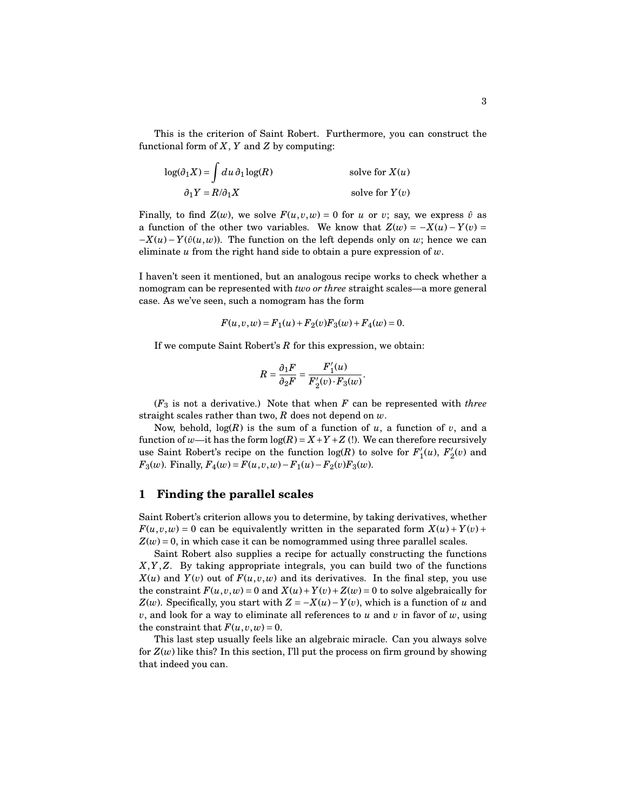This is the criterion of Saint Robert. Furthermore, you can construct the functional form of *X*, *Y* and *Z* by computing:

$$
\log(\partial_1 X) = \int du \, \partial_1 \log(R) \qquad \qquad \text{solve for } X(u)
$$

$$
\partial_1 Y = R/\partial_1 X \qquad \qquad \text{solve for } Y(v)
$$

Finally, to find  $Z(w)$ , we solve  $F(u, v, w) = 0$  for *u* or *v*; say, we express  $\hat{v}$  as a function of the other two variables. We know that  $Z(w) = -X(u) - Y(v) =$  $-X(u) - Y(\hat{v}(u,w))$ . The function on the left depends only on *w*; hence we can eliminate *u* from the right hand side to obtain a pure expression of *w*.

I haven't seen it mentioned, but an analogous recipe works to check whether a nomogram can be represented with *two or three* straight scales—a more general case. As we've seen, such a nomogram has the form

$$
F(u, v, w) = F_1(u) + F_2(v)F_3(w) + F_4(w) = 0.
$$

If we compute Saint Robert's *R* for this expression, we obtain:

$$
R = \frac{\partial_1 F}{\partial_2 F} = \frac{F'_1(u)}{F'_2(v) \cdot F_3(w)}.
$$

(*F*<sup>3</sup> is not a derivative.) Note that when *F* can be represented with *three* straight scales rather than two, *R* does not depend on *w*.

Now, behold,  $log(R)$  is the sum of a function of *u*, a function of *v*, and a function of *w*—it has the form  $log(R) = X + Y + Z$  (!). We can therefore recursively use Saint Robert's recipe on the function  $log(R)$  to solve for  $F'_1$  $I'_1(u)$ ,  $F'_2$  $v'_2(v)$  and *F*<sub>3</sub>(*w*). Finally,  $F_4(w) = F(u, v, w) - F_1(u) - F_2(v)F_3(w)$ .

## **1 Finding the parallel scales**

Saint Robert's criterion allows you to determine, by taking derivatives, whether  $F(u, v, w) = 0$  can be equivalently written in the separated form  $X(u) + Y(v) +$  $Z(w) = 0$ , in which case it can be nomogrammed using three parallel scales.

Saint Robert also supplies a recipe for actually constructing the functions *X*,*Y*,*Z*. By taking appropriate integrals, you can build two of the functions  $X(u)$  and  $Y(v)$  out of  $F(u,v,w)$  and its derivatives. In the final step, you use the constraint  $F(u, v, w) = 0$  and  $X(u) + Y(v) + Z(w) = 0$  to solve algebraically for *Z*(*w*). Specifically, you start with  $Z = -X(u) - Y(v)$ , which is a function of *u* and *v*, and look for a way to eliminate all references to *u* and *v* in favor of *w*, using the constraint that  $F(u, v, w) = 0$ .

This last step usually feels like an algebraic miracle. Can you always solve for  $Z(w)$  like this? In this section, I'll put the process on firm ground by showing that indeed you can.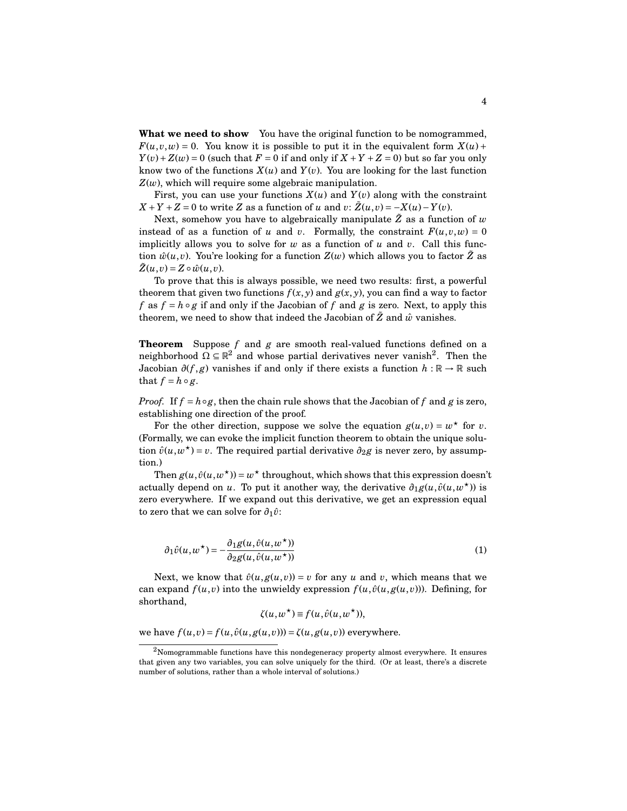**What we need to show** You have the original function to be nomogrammed,  $F(u, v, w) = 0$ . You know it is possible to put it in the equivalent form  $X(u)$  +  $Y(v) + Z(w) = 0$  (such that  $F = 0$  if and only if  $X + Y + Z = 0$ ) but so far you only know two of the functions  $X(u)$  and  $Y(v)$ . You are looking for the last function *Z*(*w*), which will require some algebraic manipulation.

First, you can use your functions  $X(u)$  and  $Y(v)$  along with the constraint  $X + Y + Z = 0$  to write *Z* as a function of *u* and *v*:  $\tilde{Z}(u, v) = -X(u) - Y(v)$ .

Next, somehow you have to algebraically manipulate  $\tilde{Z}$  as a function of  $w$ instead of as a function of *u* and *v*. Formally, the constraint  $F(u, v, w) = 0$ implicitly allows you to solve for *w* as a function of *u* and *v*. Call this function  $\hat{w}(u, v)$ . You're looking for a function  $Z(w)$  which allows you to factor Z as  $\tilde{Z}(u, v) = Z \circ \hat{w}(u, v).$ 

To prove that this is always possible, we need two results: first, a powerful theorem that given two functions  $f(x, y)$  and  $g(x, y)$ , you can find a way to factor *f* as  $f = h \circ g$  if and only if the Jacobian of *f* and *g* is zero. Next, to apply this theorem, we need to show that indeed the Jacobian of  $\tilde{Z}$  and  $\hat{w}$  vanishes.

**Theorem** Suppose *f* and *g* are smooth real-valued functions defined on a neighborhood  $\Omega \subseteq \mathbb{R}^2$  and whose partial derivatives never vanish<sup>2</sup>. Then the Jacobian  $\partial(f, g)$  vanishes if and only if there exists a function  $h : \mathbb{R} \to \mathbb{R}$  such that  $f = h \circ g$ .

*Proof.* If  $f = h \circ g$ , then the chain rule shows that the Jacobian of f and g is zero, establishing one direction of the proof.

For the other direction, suppose we solve the equation  $g(u, v) = w^*$  for *v*. (Formally, we can evoke the implicit function theorem to obtain the unique solution  $\hat{v}(u, w^*) = v$ . The required partial derivative  $\partial_2 g$  is never zero, by assumption.)

Then  $g(u, \hat{v}(u, w^*)$ ) =  $w^*$  throughout, which shows that this expression doesn't actually depend on *u*. To put it another way, the derivative  $\partial_1 g(u, \hat{v}(u, w^*)$  is zero everywhere. If we expand out this derivative, we get an expression equal to zero that we can solve for  $\partial_1 \hat{v}$ :

$$
\partial_1 \hat{v}(u, w^*) = -\frac{\partial_1 g(u, \hat{v}(u, w^*))}{\partial_2 g(u, \hat{v}(u, w^*))}
$$
(1)

Next, we know that  $\hat{v}(u, g(u, v)) = v$  for any *u* and *v*, which means that we can expand  $f(u, v)$  into the unwieldy expression  $f(u, \hat{v}(u, g(u, v)))$ . Defining, for shorthand,

$$
\zeta(u, w^{\star}) \equiv f(u, \hat{v}(u, w^{\star})),
$$

we have  $f(u, v) = f(u, \hat{v}(u, g(u, v))) = \zeta(u, g(u, v))$  everywhere.

 $2$ Nomogrammable functions have this nondegeneracy property almost everywhere. It ensures that given any two variables, you can solve uniquely for the third. (Or at least, there's a discrete number of solutions, rather than a whole interval of solutions.)